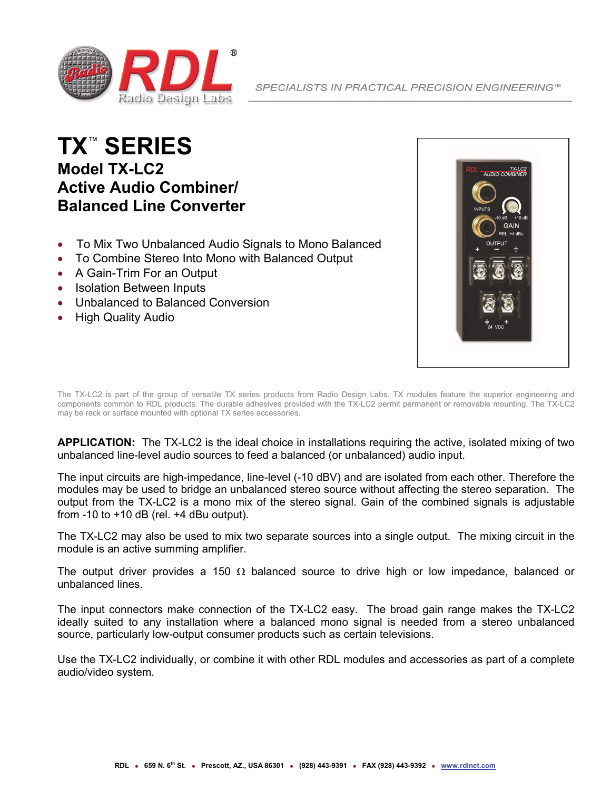

## **TX**™  **SERIES Model TX-LC2 Active Audio Combiner/ Balanced Line Converter**

- To Mix Two Unbalanced Audio Signals to Mono Balanced
- To Combine Stereo Into Mono with Balanced Output
- A Gain-Trim For an Output
- Isolation Between Inputs
- Unbalanced to Balanced Conversion
- High Quality Audio



The TX-LC2 is part of the group of versatile TX series products from Radio Design Labs. TX modules feature the superior engineering and components common to RDL products. The durable adhesives provided with the TX-LC2 permit permanent or removable mounting. The TX-LC2 may be rack or surface mounted with optional TX series accessories.

**APPLICATION:** The TX-LC2 is the ideal choice in installations requiring the active, isolated mixing of two unbalanced line-level audio sources to feed a balanced (or unbalanced) audio input.

The input circuits are high-impedance, line-level (-10 dBV) and are isolated from each other. Therefore the modules may be used to bridge an unbalanced stereo source without affecting the stereo separation. The output from the TX-LC2 is a mono mix of the stereo signal. Gain of the combined signals is adjustable from  $-10$  to  $+10$  dB (rel.  $+4$  dBu output).

The TX-LC2 may also be used to mix two separate sources into a single output. The mixing circuit in the module is an active summing amplifier.

The output driver provides a 150  $\Omega$  balanced source to drive high or low impedance, balanced or unbalanced lines.

The input connectors make connection of the TX-LC2 easy. The broad gain range makes the TX-LC2 ideally suited to any installation where a balanced mono signal is needed from a stereo unbalanced source, particularly low-output consumer products such as certain televisions.

Use the TX-LC2 individually, or combine it with other RDL modules and accessories as part of a complete audio/video system.